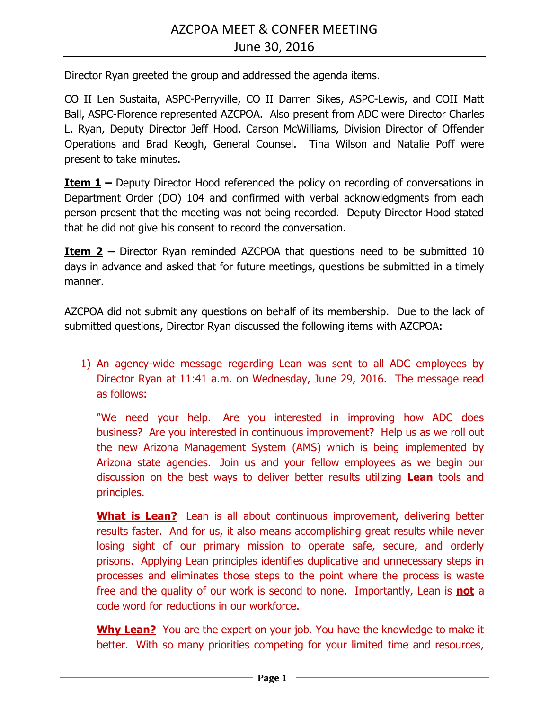Director Ryan greeted the group and addressed the agenda items.

CO II Len Sustaita, ASPC-Perryville, CO II Darren Sikes, ASPC-Lewis, and COII Matt Ball, ASPC-Florence represented AZCPOA. Also present from ADC were Director Charles L. Ryan, Deputy Director Jeff Hood, Carson McWilliams, Division Director of Offender Operations and Brad Keogh, General Counsel. Tina Wilson and Natalie Poff were present to take minutes.

**<u>Item 1</u> –** Deputy Director Hood referenced the policy on recording of conversations in Department Order (DO) 104 and confirmed with verbal acknowledgments from each person present that the meeting was not being recorded. Deputy Director Hood stated that he did not give his consent to record the conversation.

**Item 2** – Director Ryan reminded AZCPOA that questions need to be submitted 10 days in advance and asked that for future meetings, questions be submitted in a timely manner.

AZCPOA did not submit any questions on behalf of its membership. Due to the lack of submitted questions, Director Ryan discussed the following items with AZCPOA:

1) An agency-wide message regarding Lean was sent to all ADC employees by Director Ryan at 11:41 a.m. on Wednesday, June 29, 2016. The message read as follows:

"We need your help. Are you interested in improving how ADC does business? Are you interested in continuous improvement? Help us as we roll out the new Arizona Management System (AMS) which is being implemented by Arizona state agencies. Join us and your fellow employees as we begin our discussion on the best ways to deliver better results utilizing **Lean** tools and principles.

**What is Lean?** Lean is all about continuous improvement, delivering better results faster. And for us, it also means accomplishing great results while never losing sight of our primary mission to operate safe, secure, and orderly prisons. Applying Lean principles identifies duplicative and unnecessary steps in processes and eliminates those steps to the point where the process is waste free and the quality of our work is second to none. Importantly, Lean is **not** a code word for reductions in our workforce.

**Why Lean?** You are the expert on your job. You have the knowledge to make it better. With so many priorities competing for your limited time and resources,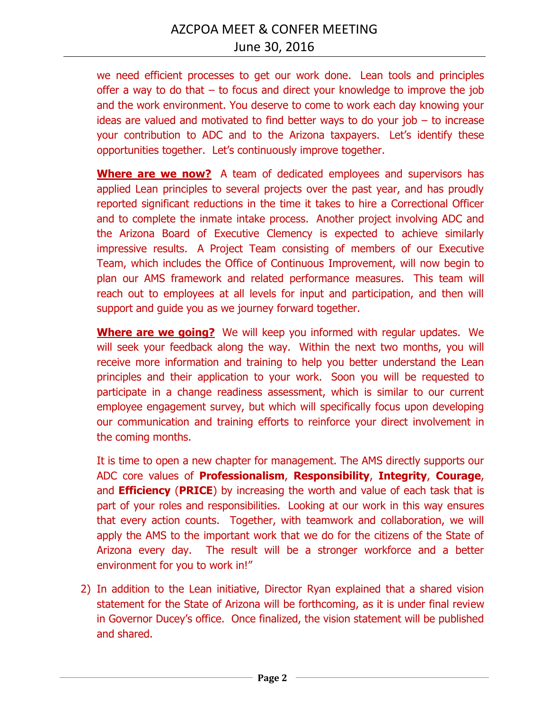we need efficient processes to get our work done. Lean tools and principles offer a way to do that – to focus and direct your knowledge to improve the job and the work environment. You deserve to come to work each day knowing your ideas are valued and motivated to find better ways to do your job – to increase your contribution to ADC and to the Arizona taxpayers. Let's identify these opportunities together. Let's continuously improve together.

**Where are we now?** A team of dedicated employees and supervisors has applied Lean principles to several projects over the past year, and has proudly reported significant reductions in the time it takes to hire a Correctional Officer and to complete the inmate intake process. Another project involving ADC and the Arizona Board of Executive Clemency is expected to achieve similarly impressive results. A Project Team consisting of members of our Executive Team, which includes the Office of Continuous Improvement, will now begin to plan our AMS framework and related performance measures. This team will reach out to employees at all levels for input and participation, and then will support and guide you as we journey forward together.

**Where are we going?** We will keep you informed with regular updates. We will seek your feedback along the way. Within the next two months, you will receive more information and training to help you better understand the Lean principles and their application to your work. Soon you will be requested to participate in a change readiness assessment, which is similar to our current employee engagement survey, but which will specifically focus upon developing our communication and training efforts to reinforce your direct involvement in the coming months.

It is time to open a new chapter for management. The AMS directly supports our ADC core values of **Professionalism**, **Responsibility**, **Integrity**, **Courage**, and **Efficiency** (**PRICE**) by increasing the worth and value of each task that is part of your roles and responsibilities. Looking at our work in this way ensures that every action counts. Together, with teamwork and collaboration, we will apply the AMS to the important work that we do for the citizens of the State of Arizona every day. The result will be a stronger workforce and a better environment for you to work in!"

2) In addition to the Lean initiative, Director Ryan explained that a shared vision statement for the State of Arizona will be forthcoming, as it is under final review in Governor Ducey's office. Once finalized, the vision statement will be published and shared.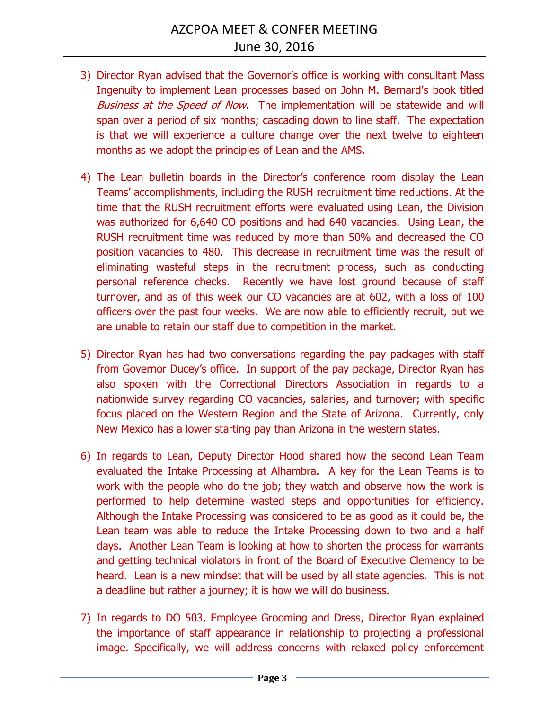- 3) Director Ryan advised that the Governor's office is working with consultant Mass Ingenuity to implement Lean processes based on John M. Bernard's book titled Business at the Speed of Now. The implementation will be statewide and will span over a period of six months; cascading down to line staff. The expectation is that we will experience a culture change over the next twelve to eighteen months as we adopt the principles of Lean and the AMS.
- 4) The Lean bulletin boards in the Director's conference room display the Lean Teams' accomplishments, including the RUSH recruitment time reductions. At the time that the RUSH recruitment efforts were evaluated using Lean, the Division was authorized for 6,640 CO positions and had 640 vacancies. Using Lean, the RUSH recruitment time was reduced by more than 50% and decreased the CO position vacancies to 480. This decrease in recruitment time was the result of eliminating wasteful steps in the recruitment process, such as conducting personal reference checks. Recently we have lost ground because of staff turnover, and as of this week our CO vacancies are at 602, with a loss of 100 officers over the past four weeks. We are now able to efficiently recruit, but we are unable to retain our staff due to competition in the market.
- 5) Director Ryan has had two conversations regarding the pay packages with staff from Governor Ducey's office. In support of the pay package, Director Ryan has also spoken with the Correctional Directors Association in regards to a nationwide survey regarding CO vacancies, salaries, and turnover; with specific focus placed on the Western Region and the State of Arizona. Currently, only New Mexico has a lower starting pay than Arizona in the western states.
- 6) In regards to Lean, Deputy Director Hood shared how the second Lean Team evaluated the Intake Processing at Alhambra. A key for the Lean Teams is to work with the people who do the job; they watch and observe how the work is performed to help determine wasted steps and opportunities for efficiency. Although the Intake Processing was considered to be as good as it could be, the Lean team was able to reduce the Intake Processing down to two and a half days. Another Lean Team is looking at how to shorten the process for warrants and getting technical violators in front of the Board of Executive Clemency to be heard. Lean is a new mindset that will be used by all state agencies. This is not a deadline but rather a journey; it is how we will do business.
- 7) In regards to DO 503, Employee Grooming and Dress, Director Ryan explained the importance of staff appearance in relationship to projecting a professional image. Specifically, we will address concerns with relaxed policy enforcement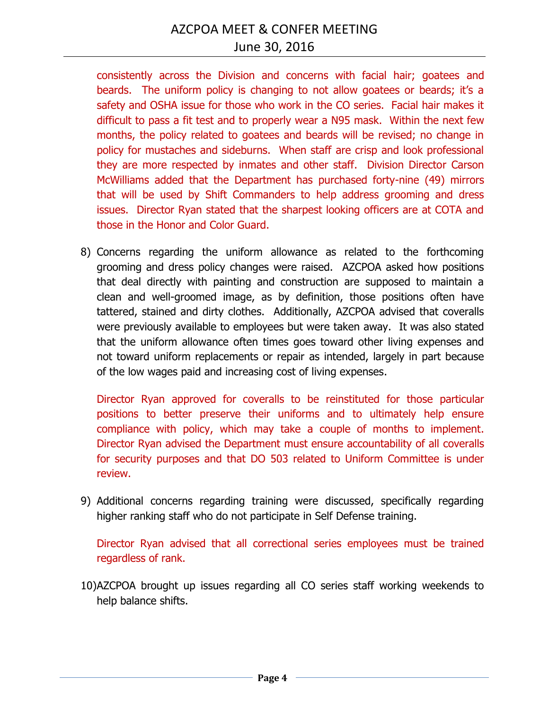consistently across the Division and concerns with facial hair; goatees and beards. The uniform policy is changing to not allow goatees or beards; it's a safety and OSHA issue for those who work in the CO series. Facial hair makes it difficult to pass a fit test and to properly wear a N95 mask. Within the next few months, the policy related to goatees and beards will be revised; no change in policy for mustaches and sideburns. When staff are crisp and look professional they are more respected by inmates and other staff. Division Director Carson McWilliams added that the Department has purchased forty-nine (49) mirrors that will be used by Shift Commanders to help address grooming and dress issues. Director Ryan stated that the sharpest looking officers are at COTA and those in the Honor and Color Guard.

8) Concerns regarding the uniform allowance as related to the forthcoming grooming and dress policy changes were raised. AZCPOA asked how positions that deal directly with painting and construction are supposed to maintain a clean and well-groomed image, as by definition, those positions often have tattered, stained and dirty clothes. Additionally, AZCPOA advised that coveralls were previously available to employees but were taken away. It was also stated that the uniform allowance often times goes toward other living expenses and not toward uniform replacements or repair as intended, largely in part because of the low wages paid and increasing cost of living expenses.

Director Ryan approved for coveralls to be reinstituted for those particular positions to better preserve their uniforms and to ultimately help ensure compliance with policy, which may take a couple of months to implement. Director Ryan advised the Department must ensure accountability of all coveralls for security purposes and that DO 503 related to Uniform Committee is under review.

9) Additional concerns regarding training were discussed, specifically regarding higher ranking staff who do not participate in Self Defense training.

Director Ryan advised that all correctional series employees must be trained regardless of rank.

10)AZCPOA brought up issues regarding all CO series staff working weekends to help balance shifts.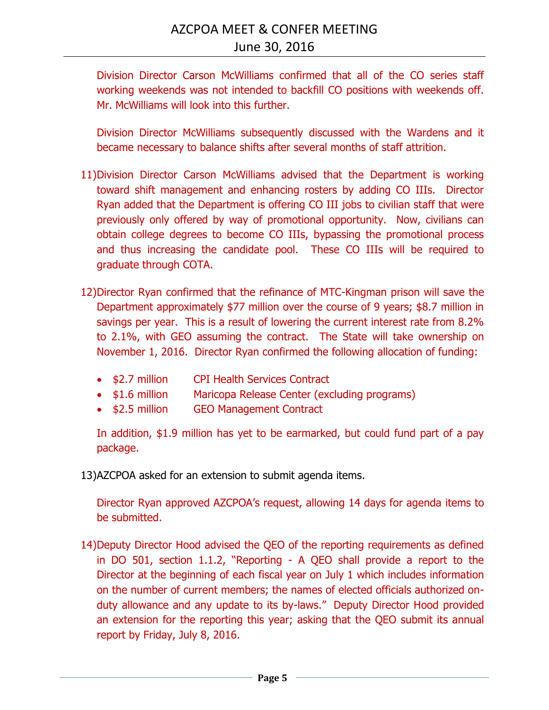Division Director Carson McWilliams confirmed that all of the CO series staff working weekends was not intended to backfill CO positions with weekends off. Mr. McWilliams will look into this further.

Division Director McWilliams subsequently discussed with the Wardens and it became necessary to balance shifts after several months of staff attrition.

- 11)Division Director Carson McWilliams advised that the Department is working toward shift management and enhancing rosters by adding CO IIIs. Director Ryan added that the Department is offering CO III jobs to civilian staff that were previously only offered by way of promotional opportunity. Now, civilians can obtain college degrees to become CO IIIs, bypassing the promotional process and thus increasing the candidate pool. These CO IIIs will be required to graduate through COTA.
- 12)Director Ryan confirmed that the refinance of MTC-Kingman prison will save the Department approximately \$77 million over the course of 9 years; \$8.7 million in savings per year. This is a result of lowering the current interest rate from 8.2% to 2.1%, with GEO assuming the contract. The State will take ownership on November 1, 2016. Director Ryan confirmed the following allocation of funding:
	- \$2.7 million CPI Health Services Contract
	- \$1.6 million Maricopa Release Center (excluding programs)
	- \$2.5 million GEO Management Contract

In addition, \$1.9 million has yet to be earmarked, but could fund part of a pay package.

13)AZCPOA asked for an extension to submit agenda items.

Director Ryan approved AZCPOA's request, allowing 14 days for agenda items to be submitted.

14)Deputy Director Hood advised the QEO of the reporting requirements as defined in DO 501, section 1.1.2, "Reporting - A QEO shall provide a report to the Director at the beginning of each fiscal year on July 1 which includes information on the number of current members; the names of elected officials authorized onduty allowance and any update to its by-laws." Deputy Director Hood provided an extension for the reporting this year; asking that the QEO submit its annual report by Friday, July 8, 2016.